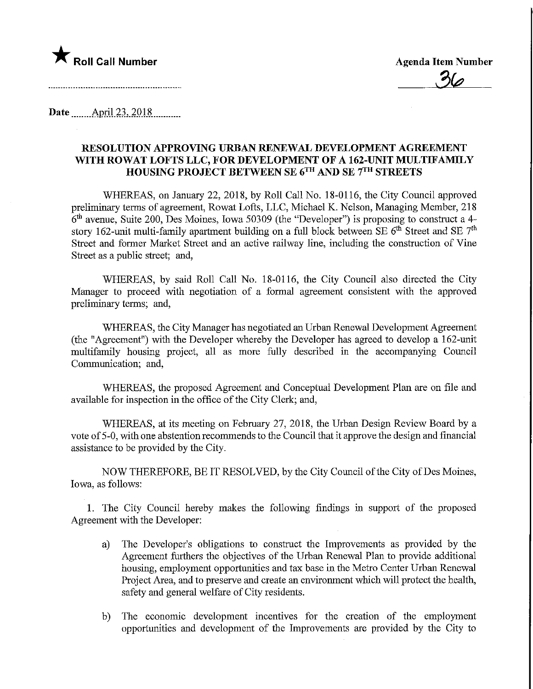

**Date** April 23, 2018

## RESOLUTION APPROVING URBAN RENEWAL DEVELOPMENT AGREEMENT WITH ROWAT LOFTS LLC, FOR DEVELOPMENT OF A 162-UNIT MULTIFAMILY HOUSING PROJECT BETWEEN SE 6™ AND SE 7™ STREETS

WHEREAS, on January 22, 2018, by Roll Call No. 18-0116, the City Council approved preliminary terms of agreement, Rowat Lofts, LLC, Michael K. Nelson, Managing Member, 218 6th avenue, Suite 200, Des Moines, Iowa 50309 (the "Developer") is proposing to construct a 4 story 162-unit multi-family apartment building on a full block between SE  $6<sup>th</sup>$  Street and SE  $7<sup>th</sup>$ Street and former Market Street and an active railway line, including the construction of Vine Street as a public street; and,

WHEREAS, by said Roll Call No. 18-0116, the City Council also directed the City Manager to proceed with negotiation of a formal agreement consistent with the approved preliminary terms; and,

WHEREAS, the City Manager has negotiated an Urban Renewal Development Agreement (the "Agreement") with the Developer whereby the Developer has agreed to develop a 162-unit multifamily housing project, all as more fully described in the accompanying Council Communication; and,

WHEREAS, the proposed Agreement and Conceptual Development Plan are on file and available for inspection in the office of the City Clerk; and,

WHEREAS, at its meeting on February 27, 2018, the Urban Design Review Board by a vote of 5-0, with one abstention recommends to the Council that it approve the design and financial assistance to be provided by the City.

NOW THEREFORE, BE IT RESOLVED, by the City Council of the City of Des Moines, Iowa, as follows:

1. The City Council hereby makes the following findings in support of the proposed Agreement with the Developer:

- a) The Developer's obligations to construct the Improvements as provided by the Agreement furthers the objectives of the Urban Renewal Plan to provide additional housing, employment opportimities and tax base in the Metro Center Urban Renewal Project Area, and to preserve and create an environment which will protect the health, safety and general welfare of City residents.
- b) The economic development incentives for the creation of the employment opportunities and development of the Improvements are provided by the City to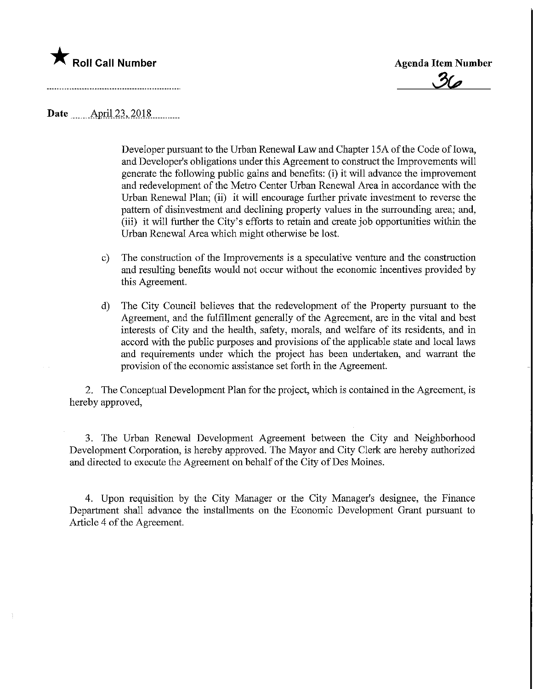

**Agenda Item Number** 

Date **April 23, 2018** 

Developer pursuant to the Urban Renewal Law and Chapter 15A of the Code of Iowa, and Developer's obligations under this Agreement to construct the Improvements will generate the following public gains and benefits: (i) it will advance the improvement and redevelopment of the Metro Center Urban Renewal Area in accordance with the Urban Renewal Plan; (ii) it will encourage further private investment to reverse the pattern of disinvestment and declining property values in the surrounding area; and, (iii) it will further the City's efforts to retain and create job opportunities within the Urban Renewal Area which might otherwise be lost.

- c) The construction of the Improvements is a speculative venture and the construction and resulting benefits would not occur without the economic incentives provided by this Agreement.
- d) The City Council believes that the redevelopment of the Property pursuant to the Agreement, and the fulfillment generally of the Agreement, are in the vital and best interests of City and the health, safety, morals, and welfare of its residents, and in accord with the public purposes and provisions of the applicable state and local laws and requirements under which the project has been undertaken, and warrant the provision of the economic assistance set forth in the Agreement.

2. The Conceptual Development Plan for the project, which is contained in the Agreement, is hereby approved,

3. The Urban Renewal Development Agreement between the City and Neighborhood Development Corporation, is hereby approved. The Mayor and City Clerk are hereby authorized and directed to execute the Agreement on behalf of the City of Des Moines.

4. Upon requisition by the City Manager or the City Manager's designee, the Finance Department shall advance the installments on the Economic Development Grant pursuant to Article 4 of the Agreement.